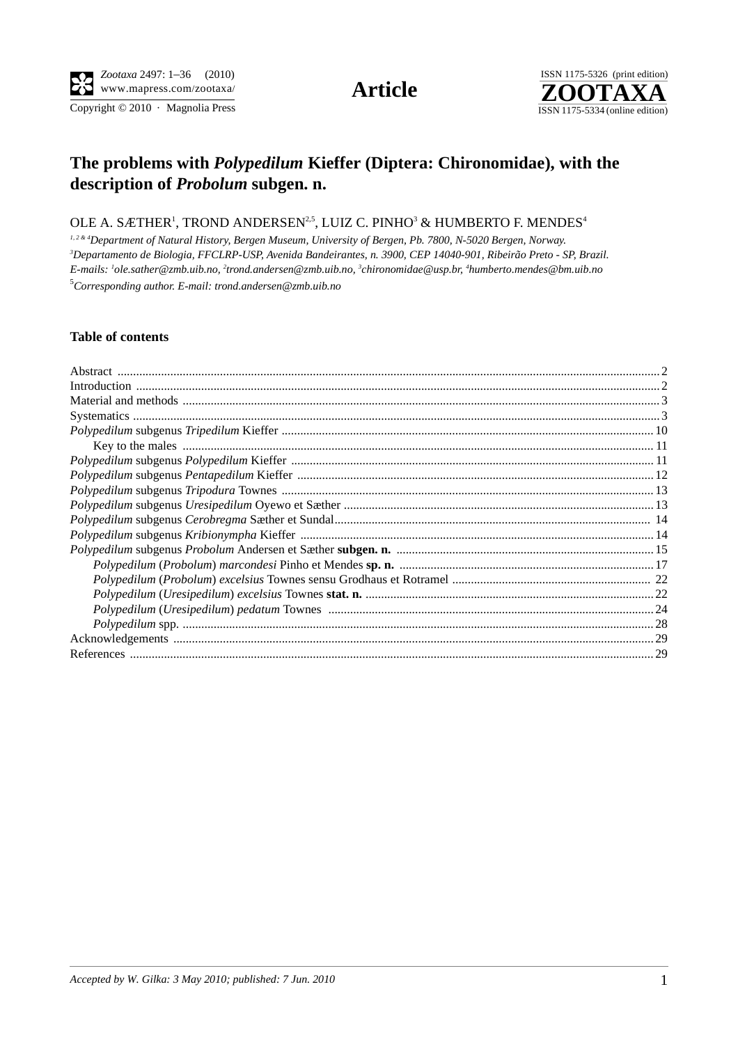$\overline{\text{Copyright} \odot 2010\, \cdot \text{ Magnolia Press}}}$ 



# **The problems with** *Polypedilum* **Kieffer (Diptera: Chironomidae), with the description of** *Probolum* **subgen. n.**

# OLE A. SÆTHER $^{\rm 1}$ , TROND ANDERSEN $^{\rm 2,5}$ , LUIZ C. PINHO $^{\rm 3}$  & HUMBERTO F. MENDES $^{\rm 4}$

<sup>1,2 & 4</sup>Department of Natural History, Bergen Museum, University of Bergen, Pb. 7800, N-5020 Bergen, Norway. *Departamento de Biologia, FFCLRP-USP, Avenida Bandeirantes, n. 3900, CEP 14040-901, Ribeirão Preto - SP, Brazil. E-mails: 1 ole.sather@zmb.uib.no, 2 trond.andersen@zmb.uib.no, 3 chironomidae@usp.br, 4 humberto.mendes@bm.uib.no* 5 *Corresponding author. E-mail: trond.andersen@zmb.uib.no*

## **Table of contents**